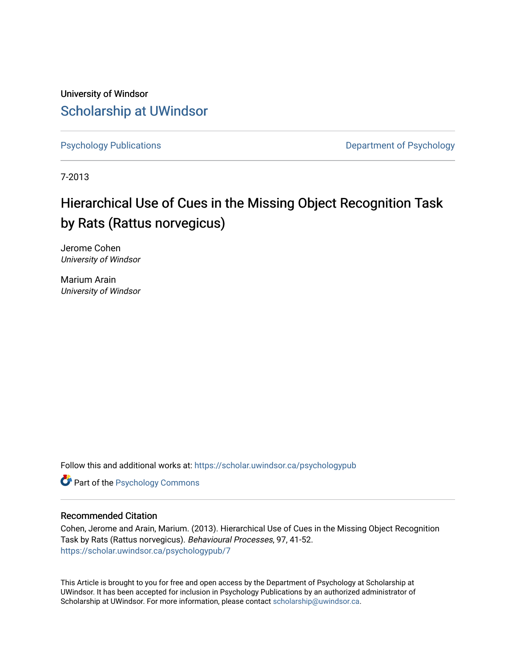University of Windsor [Scholarship at UWindsor](https://scholar.uwindsor.ca/) 

[Psychology Publications](https://scholar.uwindsor.ca/psychologypub) **Department of Psychology** 

7-2013

# Hierarchical Use of Cues in the Missing Object Recognition Task by Rats (Rattus norvegicus)

Jerome Cohen University of Windsor

Marium Arain University of Windsor

Follow this and additional works at: [https://scholar.uwindsor.ca/psychologypub](https://scholar.uwindsor.ca/psychologypub?utm_source=scholar.uwindsor.ca%2Fpsychologypub%2F7&utm_medium=PDF&utm_campaign=PDFCoverPages) 

**Part of the Psychology Commons** 

## Recommended Citation

Cohen, Jerome and Arain, Marium. (2013). Hierarchical Use of Cues in the Missing Object Recognition Task by Rats (Rattus norvegicus). Behavioural Processes, 97, 41-52. [https://scholar.uwindsor.ca/psychologypub/7](https://scholar.uwindsor.ca/psychologypub/7?utm_source=scholar.uwindsor.ca%2Fpsychologypub%2F7&utm_medium=PDF&utm_campaign=PDFCoverPages) 

This Article is brought to you for free and open access by the Department of Psychology at Scholarship at UWindsor. It has been accepted for inclusion in Psychology Publications by an authorized administrator of Scholarship at UWindsor. For more information, please contact [scholarship@uwindsor.ca.](mailto:scholarship@uwindsor.ca)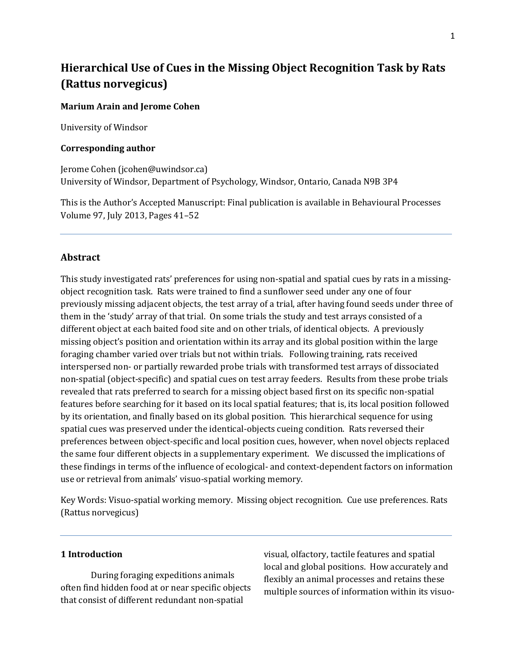## **Hierarchical Use of Cues in the Missing Object Recognition Task by Rats (Rattus norvegicus)**

## **Marium Arain and Jerome Cohen**

University of Windsor

## **Corresponding author**

Jerome Cohen (jcohen@uwindsor.ca) University of Windsor, Department of Psychology, Windsor, Ontario, Canada N9B 3P4

This is the Author's Accepted Manuscript: Final publication is available in Behavioural Processes Volume 97, July 2013, Pages 41–52

## **Abstract**

This study investigated rats' preferences for using non-spatial and spatial cues by rats in a missingobject recognition task. Rats were trained to find a sunflower seed under any one of four previously missing adjacent objects, the test array of a trial, after having found seeds under three of them in the 'study' array of that trial. On some trials the study and test arrays consisted of a different object at each baited food site and on other trials, of identical objects. A previously missing object's position and orientation within its array and its global position within the large foraging chamber varied over trials but not within trials. Following training, rats received interspersed non- or partially rewarded probe trials with transformed test arrays of dissociated non-spatial (object-specific) and spatial cues on test array feeders. Results from these probe trials revealed that rats preferred to search for a missing object based first on its specific non-spatial features before searching for it based on its local spatial features; that is, its local position followed by its orientation, and finally based on its global position. This hierarchical sequence for using spatial cues was preserved under the identical-objects cueing condition. Rats reversed their preferences between object-specific and local position cues, however, when novel objects replaced the same four different objects in a supplementary experiment. We discussed the implications of these findings in terms of the influence of ecological- and context-dependent factors on information use or retrieval from animals' visuo-spatial working memory.

Key Words: Visuo-spatial working memory. Missing object recognition. Cue use preferences. Rats (Rattus norvegicus)

## **1 Introduction**

During foraging expeditions animals often find hidden food at or near specific objects that consist of different redundant non-spatial

visual, olfactory, tactile features and spatial local and global positions. How accurately and flexibly an animal processes and retains these multiple sources of information within its visuo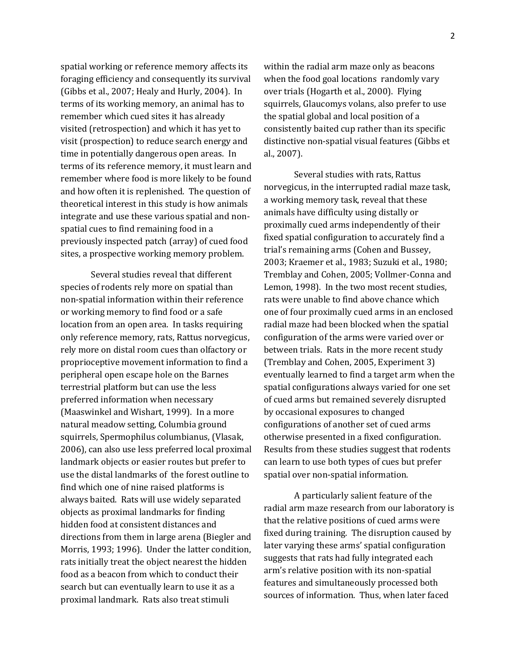spatial working or reference memory affects its foraging efficiency and consequently its survival (Gibbs et al., 2007; Healy and Hurly, 2004). In terms of its working memory, an animal has to remember which cued sites it has already visited (retrospection) and which it has yet to visit (prospection) to reduce search energy and time in potentially dangerous open areas. In terms of its reference memory, it must learn and remember where food is more likely to be found and how often it is replenished. The question of theoretical interest in this study is how animals integrate and use these various spatial and nonspatial cues to find remaining food in a previously inspected patch (array) of cued food sites, a prospective working memory problem.

Several studies reveal that different species of rodents rely more on spatial than non-spatial information within their reference or working memory to find food or a safe location from an open area. In tasks requiring only reference memory, rats, Rattus norvegicus, rely more on distal room cues than olfactory or proprioceptive movement information to find a peripheral open escape hole on the Barnes terrestrial platform but can use the less preferred information when necessary (Maaswinkel and Wishart, 1999). In a more natural meadow setting, Columbia ground squirrels, Spermophilus columbianus, (Vlasak, 2006), can also use less preferred local proximal landmark objects or easier routes but prefer to use the distal landmarks of the forest outline to find which one of nine raised platforms is always baited. Rats will use widely separated objects as proximal landmarks for finding hidden food at consistent distances and directions from them in large arena (Biegler and Morris, 1993; 1996). Under the latter condition, rats initially treat the object nearest the hidden food as a beacon from which to conduct their search but can eventually learn to use it as a proximal landmark. Rats also treat stimuli

within the radial arm maze only as beacons when the food goal locations randomly vary over trials (Hogarth et al., 2000). Flying squirrels, Glaucomys volans, also prefer to use the spatial global and local position of a consistently baited cup rather than its specific distinctive non-spatial visual features (Gibbs et al., 2007).

Several studies with rats, Rattus norvegicus, in the interrupted radial maze task, a working memory task, reveal that these animals have difficulty using distally or proximally cued arms independently of their fixed spatial configuration to accurately find a trial's remaining arms (Cohen and Bussey, 2003; Kraemer et al., 1983; Suzuki et al., 1980; Tremblay and Cohen, 2005; Vollmer-Conna and Lemon, 1998). In the two most recent studies, rats were unable to find above chance which one of four proximally cued arms in an enclosed radial maze had been blocked when the spatial configuration of the arms were varied over or between trials. Rats in the more recent study (Tremblay and Cohen, 2005, Experiment 3) eventually learned to find a target arm when the spatial configurations always varied for one set of cued arms but remained severely disrupted by occasional exposures to changed configurations of another set of cued arms otherwise presented in a fixed configuration. Results from these studies suggest that rodents can learn to use both types of cues but prefer spatial over non-spatial information.

A particularly salient feature of the radial arm maze research from our laboratory is that the relative positions of cued arms were fixed during training. The disruption caused by later varying these arms' spatial configuration suggests that rats had fully integrated each arm's relative position with its non-spatial features and simultaneously processed both sources of information. Thus, when later faced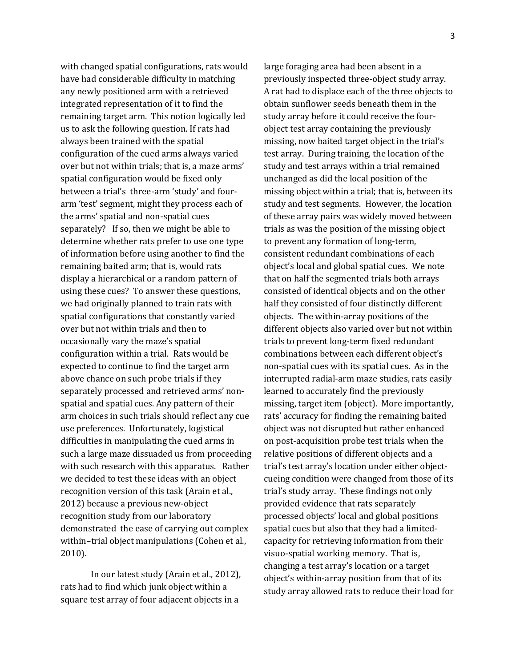with changed spatial configurations, rats would have had considerable difficulty in matching any newly positioned arm with a retrieved integrated representation of it to find the remaining target arm. This notion logically led us to ask the following question. If rats had always been trained with the spatial configuration of the cued arms always varied over but not within trials; that is, a maze arms' spatial configuration would be fixed only between a trial's three-arm 'study' and fourarm 'test' segment, might they process each of the arms' spatial and non-spatial cues separately? If so, then we might be able to determine whether rats prefer to use one type of information before using another to find the remaining baited arm; that is, would rats display a hierarchical or a random pattern of using these cues? To answer these questions, we had originally planned to train rats with spatial configurations that constantly varied over but not within trials and then to occasionally vary the maze's spatial configuration within a trial. Rats would be expected to continue to find the target arm above chance on such probe trials if they separately processed and retrieved arms' nonspatial and spatial cues. Any pattern of their arm choices in such trials should reflect any cue use preferences. Unfortunately, logistical difficulties in manipulating the cued arms in such a large maze dissuaded us from proceeding with such research with this apparatus. Rather we decided to test these ideas with an object recognition version of this task (Arain et al., 2012) because a previous new-object recognition study from our laboratory demonstrated the ease of carrying out complex within–trial object manipulations (Cohen et al., 2010).

In our latest study (Arain et al., 2012), rats had to find which junk object within a square test array of four adjacent objects in a

large foraging area had been absent in a previously inspected three-object study array. A rat had to displace each of the three objects to obtain sunflower seeds beneath them in the study array before it could receive the fourobject test array containing the previously missing, now baited target object in the trial's test array. During training, the location of the study and test arrays within a trial remained unchanged as did the local position of the missing object within a trial; that is, between its study and test segments. However, the location of these array pairs was widely moved between trials as was the position of the missing object to prevent any formation of long-term, consistent redundant combinations of each object's local and global spatial cues. We note that on half the segmented trials both arrays consisted of identical objects and on the other half they consisted of four distinctly different objects. The within-array positions of the different objects also varied over but not within trials to prevent long-term fixed redundant combinations between each different object's non-spatial cues with its spatial cues. As in the interrupted radial-arm maze studies, rats easily learned to accurately find the previously missing, target item (object). More importantly, rats' accuracy for finding the remaining baited object was not disrupted but rather enhanced on post-acquisition probe test trials when the relative positions of different objects and a trial's test array's location under either objectcueing condition were changed from those of its trial's study array. These findings not only provided evidence that rats separately processed objects' local and global positions spatial cues but also that they had a limitedcapacity for retrieving information from their visuo-spatial working memory. That is, changing a test array's location or a target object's within-array position from that of its study array allowed rats to reduce their load for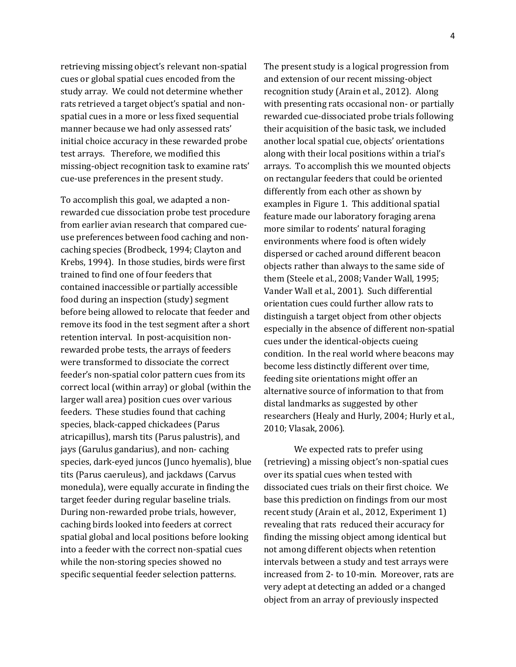retrieving missing object's relevant non-spatial cues or global spatial cues encoded from the study array. We could not determine whether rats retrieved a target object's spatial and nonspatial cues in a more or less fixed sequential manner because we had only assessed rats' initial choice accuracy in these rewarded probe test arrays. Therefore, we modified this missing-object recognition task to examine rats' cue-use preferences in the present study.

To accomplish this goal, we adapted a nonrewarded cue dissociation probe test procedure from earlier avian research that compared cueuse preferences between food caching and noncaching species (Brodbeck, 1994; Clayton and Krebs, 1994). In those studies, birds were first trained to find one of four feeders that contained inaccessible or partially accessible food during an inspection (study) segment before being allowed to relocate that feeder and remove its food in the test segment after a short retention interval. In post-acquisition nonrewarded probe tests, the arrays of feeders were transformed to dissociate the correct feeder's non-spatial color pattern cues from its correct local (within array) or global (within the larger wall area) position cues over various feeders. These studies found that caching species, black-capped chickadees (Parus atricapillus), marsh tits (Parus palustris), and jays (Garulus gandarius), and non- caching species, dark-eyed juncos (Junco hyemalis), blue tits (Parus caeruleus), and jackdaws (Carvus monedula), were equally accurate in finding the target feeder during regular baseline trials. During non-rewarded probe trials, however, caching birds looked into feeders at correct spatial global and local positions before looking into a feeder with the correct non-spatial cues while the non-storing species showed no specific sequential feeder selection patterns.

The present study is a logical progression from and extension of our recent missing-object recognition study (Arain et al., 2012). Along with presenting rats occasional non- or partially rewarded cue-dissociated probe trials following their acquisition of the basic task, we included another local spatial cue, objects' orientations along with their local positions within a trial's arrays. To accomplish this we mounted objects on rectangular feeders that could be oriented differently from each other as shown by examples in Figure 1. This additional spatial feature made our laboratory foraging arena more similar to rodents' natural foraging environments where food is often widely dispersed or cached around different beacon objects rather than always to the same side of them (Steele et al., 2008; Vander Wall, 1995; Vander Wall et al., 2001). Such differential orientation cues could further allow rats to distinguish a target object from other objects especially in the absence of different non-spatial cues under the identical-objects cueing condition. In the real world where beacons may become less distinctly different over time, feeding site orientations might offer an alternative source of information to that from distal landmarks as suggested by other researchers (Healy and Hurly, 2004; Hurly et al., 2010; Vlasak, 2006).

We expected rats to prefer using (retrieving) a missing object's non-spatial cues over its spatial cues when tested with dissociated cues trials on their first choice. We base this prediction on findings from our most recent study (Arain et al., 2012, Experiment 1) revealing that rats reduced their accuracy for finding the missing object among identical but not among different objects when retention intervals between a study and test arrays were increased from 2- to 10-min. Moreover, rats are very adept at detecting an added or a changed object from an array of previously inspected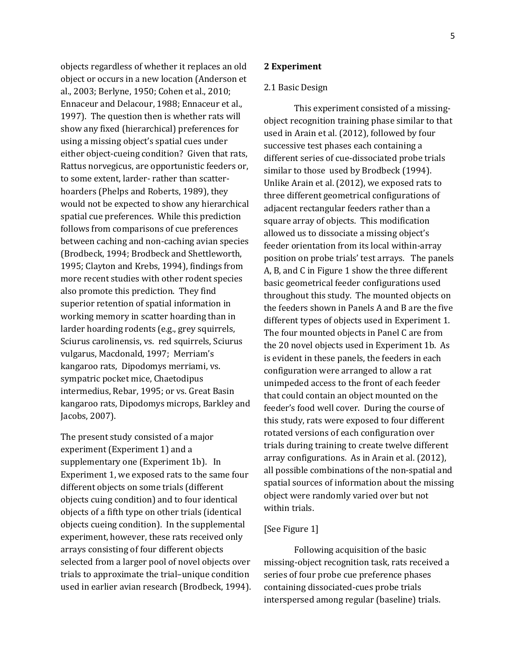objects regardless of whether it replaces an old object or occurs in a new location (Anderson et al., 2003; Berlyne, 1950; Cohen et al., 2010; Ennaceur and Delacour, 1988; Ennaceur et al., 1997). The question then is whether rats will show any fixed (hierarchical) preferences for using a missing object's spatial cues under either object-cueing condition? Given that rats, Rattus norvegicus, are opportunistic feeders or, to some extent, larder- rather than scatterhoarders (Phelps and Roberts, 1989), they would not be expected to show any hierarchical spatial cue preferences. While this prediction follows from comparisons of cue preferences between caching and non-caching avian species (Brodbeck, 1994; Brodbeck and Shettleworth, 1995; Clayton and Krebs, 1994), findings from more recent studies with other rodent species also promote this prediction. They find superior retention of spatial information in working memory in scatter hoarding than in larder hoarding rodents (e.g., grey squirrels, Sciurus carolinensis, vs. red squirrels, Sciurus vulgarus, Macdonald, 1997; Merriam's kangaroo rats, Dipodomys merriami, vs. sympatric pocket mice, Chaetodipus intermedius, Rebar, 1995; or vs. Great Basin kangaroo rats, Dipodomys microps, Barkley and Jacobs, 2007).

The present study consisted of a major experiment (Experiment 1) and a supplementary one (Experiment 1b). In Experiment 1, we exposed rats to the same four different objects on some trials (different objects cuing condition) and to four identical objects of a fifth type on other trials (identical objects cueing condition). In the supplemental experiment, however, these rats received only arrays consisting of four different objects selected from a larger pool of novel objects over trials to approximate the trial–unique condition used in earlier avian research (Brodbeck, 1994).

#### **2 Experiment**

#### 2.1 Basic Design

This experiment consisted of a missingobject recognition training phase similar to that used in Arain et al. (2012), followed by four successive test phases each containing a different series of cue-dissociated probe trials similar to those used by Brodbeck (1994). Unlike Arain et al. (2012), we exposed rats to three different geometrical configurations of adjacent rectangular feeders rather than a square array of objects. This modification allowed us to dissociate a missing object's feeder orientation from its local within-array position on probe trials' test arrays. The panels A, B, and C in Figure 1 show the three different basic geometrical feeder configurations used throughout this study. The mounted objects on the feeders shown in Panels A and B are the five different types of objects used in Experiment 1. The four mounted objects in Panel C are from the 20 novel objects used in Experiment 1b. As is evident in these panels, the feeders in each configuration were arranged to allow a rat unimpeded access to the front of each feeder that could contain an object mounted on the feeder's food well cover. During the course of this study, rats were exposed to four different rotated versions of each configuration over trials during training to create twelve different array configurations. As in Arain et al. (2012), all possible combinations of the non-spatial and spatial sources of information about the missing object were randomly varied over but not within trials.

#### [See Figure 1]

Following acquisition of the basic missing-object recognition task, rats received a series of four probe cue preference phases containing dissociated-cues probe trials interspersed among regular (baseline) trials.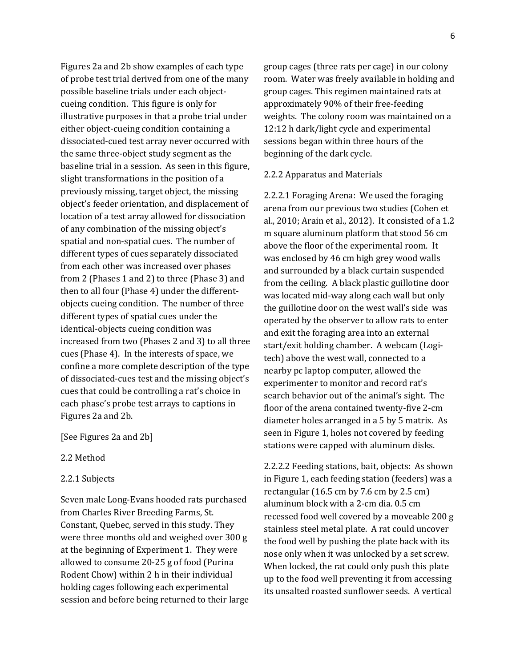Figures 2a and 2b show examples of each type of probe test trial derived from one of the many possible baseline trials under each objectcueing condition. This figure is only for illustrative purposes in that a probe trial under either object-cueing condition containing a dissociated-cued test array never occurred with the same three-object study segment as the baseline trial in a session. As seen in this figure, slight transformations in the position of a previously missing, target object, the missing object's feeder orientation, and displacement of location of a test array allowed for dissociation of any combination of the missing object's spatial and non-spatial cues. The number of different types of cues separately dissociated from each other was increased over phases from 2 (Phases 1 and 2) to three (Phase 3) and then to all four (Phase 4) under the differentobjects cueing condition. The number of three different types of spatial cues under the identical-objects cueing condition was increased from two (Phases 2 and 3) to all three cues (Phase 4). In the interests of space, we confine a more complete description of the type of dissociated-cues test and the missing object's cues that could be controlling a rat's choice in each phase's probe test arrays to captions in Figures 2a and 2b.

[See Figures 2a and 2b]

#### 2.2 Method

#### 2.2.1 Subjects

Seven male Long-Evans hooded rats purchased from Charles River Breeding Farms, St. Constant, Quebec, served in this study. They were three months old and weighed over 300 g at the beginning of Experiment 1. They were allowed to consume 20-25 g of food (Purina Rodent Chow) within 2 h in their individual holding cages following each experimental session and before being returned to their large group cages (three rats per cage) in our colony room. Water was freely available in holding and group cages. This regimen maintained rats at approximately 90% of their free-feeding weights. The colony room was maintained on a 12:12 h dark/light cycle and experimental sessions began within three hours of the beginning of the dark cycle.

#### 2.2.2 Apparatus and Materials

2.2.2.1 Foraging Arena: We used the foraging arena from our previous two studies (Cohen et al., 2010; Arain et al., 2012). It consisted of a 1.2 m square aluminum platform that stood 56 cm above the floor of the experimental room. It was enclosed by 46 cm high grey wood walls and surrounded by a black curtain suspended from the ceiling. A black plastic guillotine door was located mid-way along each wall but only the guillotine door on the west wall's side was operated by the observer to allow rats to enter and exit the foraging area into an external start/exit holding chamber. A webcam (Logitech) above the west wall, connected to a nearby pc laptop computer, allowed the experimenter to monitor and record rat's search behavior out of the animal's sight. The floor of the arena contained twenty-five 2-cm diameter holes arranged in a 5 by 5 matrix. As seen in Figure 1, holes not covered by feeding stations were capped with aluminum disks.

2.2.2.2 Feeding stations, bait, objects: As shown in Figure 1, each feeding station (feeders) was a rectangular (16.5 cm by 7.6 cm by 2.5 cm) aluminum block with a 2-cm dia. 0.5 cm recessed food well covered by a moveable 200 g stainless steel metal plate. A rat could uncover the food well by pushing the plate back with its nose only when it was unlocked by a set screw. When locked, the rat could only push this plate up to the food well preventing it from accessing its unsalted roasted sunflower seeds. A vertical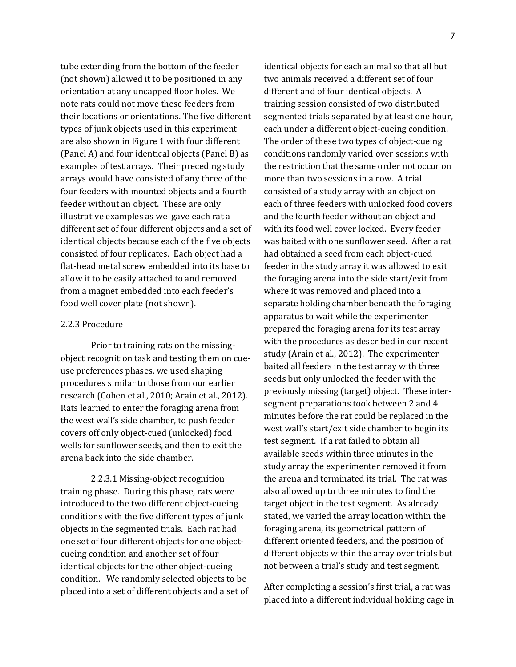tube extending from the bottom of the feeder (not shown) allowed it to be positioned in any orientation at any uncapped floor holes. We note rats could not move these feeders from their locations or orientations. The five different types of junk objects used in this experiment are also shown in Figure 1 with four different (Panel A) and four identical objects (Panel B) as examples of test arrays. Their preceding study arrays would have consisted of any three of the four feeders with mounted objects and a fourth feeder without an object. These are only illustrative examples as we gave each rat a different set of four different objects and a set of identical objects because each of the five objects consisted of four replicates. Each object had a flat-head metal screw embedded into its base to allow it to be easily attached to and removed from a magnet embedded into each feeder's food well cover plate (not shown).

#### 2.2.3 Procedure

Prior to training rats on the missingobject recognition task and testing them on cueuse preferences phases, we used shaping procedures similar to those from our earlier research (Cohen et al., 2010; Arain et al., 2012). Rats learned to enter the foraging arena from the west wall's side chamber, to push feeder covers off only object-cued (unlocked) food wells for sunflower seeds, and then to exit the arena back into the side chamber.

2.2.3.1 Missing-object recognition training phase. During this phase, rats were introduced to the two different object-cueing conditions with the five different types of junk objects in the segmented trials. Each rat had one set of four different objects for one objectcueing condition and another set of four identical objects for the other object-cueing condition. We randomly selected objects to be placed into a set of different objects and a set of identical objects for each animal so that all but two animals received a different set of four different and of four identical objects. A training session consisted of two distributed segmented trials separated by at least one hour, each under a different object-cueing condition. The order of these two types of object-cueing conditions randomly varied over sessions with the restriction that the same order not occur on more than two sessions in a row. A trial consisted of a study array with an object on each of three feeders with unlocked food covers and the fourth feeder without an object and with its food well cover locked. Every feeder was baited with one sunflower seed. After a rat had obtained a seed from each object-cued feeder in the study array it was allowed to exit the foraging arena into the side start/exit from where it was removed and placed into a separate holding chamber beneath the foraging apparatus to wait while the experimenter prepared the foraging arena for its test array with the procedures as described in our recent study (Arain et al., 2012). The experimenter baited all feeders in the test array with three seeds but only unlocked the feeder with the previously missing (target) object. These intersegment preparations took between 2 and 4 minutes before the rat could be replaced in the west wall's start/exit side chamber to begin its test segment. If a rat failed to obtain all available seeds within three minutes in the study array the experimenter removed it from the arena and terminated its trial. The rat was also allowed up to three minutes to find the target object in the test segment. As already stated, we varied the array location within the foraging arena, its geometrical pattern of different oriented feeders, and the position of different objects within the array over trials but not between a trial's study and test segment.

After completing a session's first trial, a rat was placed into a different individual holding cage in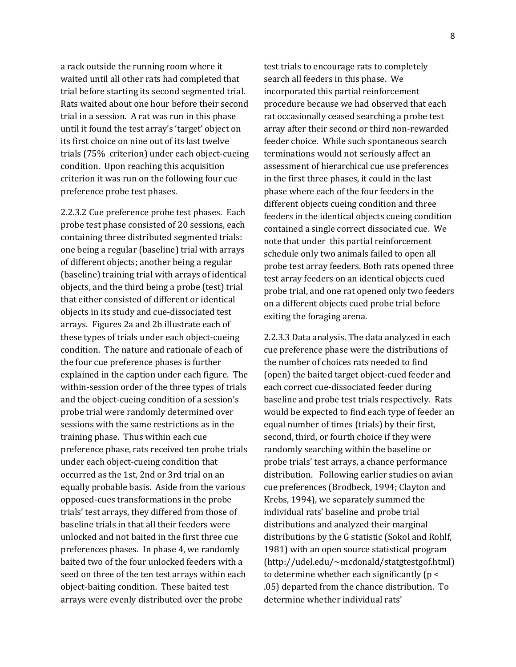a rack outside the running room where it waited until all other rats had completed that trial before starting its second segmented trial. Rats waited about one hour before their second trial in a session. A rat was run in this phase until it found the test array's 'target' object on its first choice on nine out of its last twelve trials (75% criterion) under each object-cueing condition. Upon reaching this acquisition criterion it was run on the following four cue preference probe test phases.

2.2.3.2 Cue preference probe test phases. Each probe test phase consisted of 20 sessions, each containing three distributed segmented trials: one being a regular (baseline) trial with arrays of different objects; another being a regular (baseline) training trial with arrays of identical objects, and the third being a probe (test) trial that either consisted of different or identical objects in its study and cue-dissociated test arrays. Figures 2a and 2b illustrate each of these types of trials under each object-cueing condition. The nature and rationale of each of the four cue preference phases is further explained in the caption under each figure. The within-session order of the three types of trials and the object-cueing condition of a session's probe trial were randomly determined over sessions with the same restrictions as in the training phase. Thus within each cue preference phase, rats received ten probe trials under each object-cueing condition that occurred as the 1st, 2nd or 3rd trial on an equally probable basis. Aside from the various opposed-cues transformations in the probe trials' test arrays, they differed from those of baseline trials in that all their feeders were unlocked and not baited in the first three cue preferences phases. In phase 4, we randomly baited two of the four unlocked feeders with a seed on three of the ten test arrays within each object-baiting condition. These baited test arrays were evenly distributed over the probe

test trials to encourage rats to completely search all feeders in this phase. We incorporated this partial reinforcement procedure because we had observed that each rat occasionally ceased searching a probe test array after their second or third non-rewarded feeder choice. While such spontaneous search terminations would not seriously affect an assessment of hierarchical cue use preferences in the first three phases, it could in the last phase where each of the four feeders in the different objects cueing condition and three feeders in the identical objects cueing condition contained a single correct dissociated cue. We note that under this partial reinforcement schedule only two animals failed to open all probe test array feeders. Both rats opened three test array feeders on an identical objects cued probe trial, and one rat opened only two feeders on a different objects cued probe trial before exiting the foraging arena.

2.2.3.3 Data analysis. The data analyzed in each cue preference phase were the distributions of the number of choices rats needed to find (open) the baited target object-cued feeder and each correct cue-dissociated feeder during baseline and probe test trials respectively. Rats would be expected to find each type of feeder an equal number of times (trials) by their first, second, third, or fourth choice if they were randomly searching within the baseline or probe trials' test arrays, a chance performance distribution. Following earlier studies on avian cue preferences (Brodbeck, 1994; Clayton and Krebs, 1994), we separately summed the individual rats' baseline and probe trial distributions and analyzed their marginal distributions by the G statistic (Sokol and Rohlf, 1981) with an open source statistical program (http://udel.edu/~mcdonald/statgtestgof.html) to determine whether each significantly (p < .05) departed from the chance distribution. To determine whether individual rats'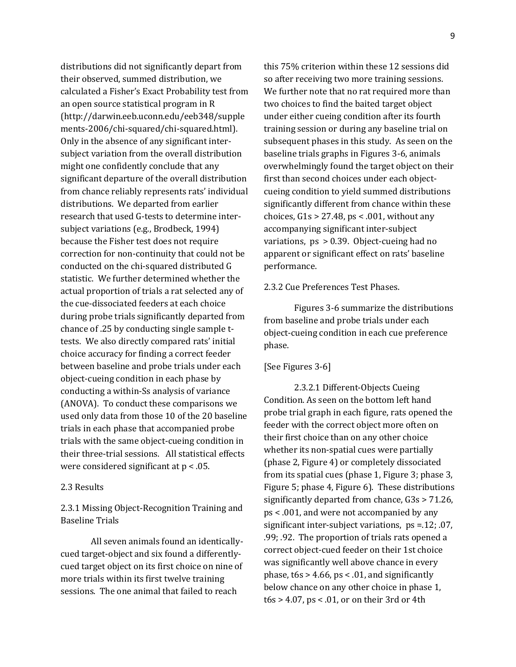distributions did not significantly depart from their observed, summed distribution, we calculated a Fisher's Exact Probability test from an open source statistical program in R (http://darwin.eeb.uconn.edu/eeb348/supple ments-2006/chi-squared/chi-squared.html). Only in the absence of any significant intersubject variation from the overall distribution might one confidently conclude that any significant departure of the overall distribution from chance reliably represents rats' individual distributions. We departed from earlier research that used G-tests to determine intersubject variations (e.g., Brodbeck, 1994) because the Fisher test does not require correction for non-continuity that could not be conducted on the chi-squared distributed G statistic. We further determined whether the actual proportion of trials a rat selected any of the cue-dissociated feeders at each choice during probe trials significantly departed from chance of .25 by conducting single sample ttests. We also directly compared rats' initial choice accuracy for finding a correct feeder between baseline and probe trials under each object-cueing condition in each phase by conducting a within-Ss analysis of variance (ANOVA). To conduct these comparisons we used only data from those 10 of the 20 baseline trials in each phase that accompanied probe trials with the same object-cueing condition in their three-trial sessions. All statistical effects were considered significant at p < .05.

#### 2.3 Results

2.3.1 Missing Object-Recognition Training and Baseline Trials

All seven animals found an identicallycued target-object and six found a differentlycued target object on its first choice on nine of more trials within its first twelve training sessions. The one animal that failed to reach

this 75% criterion within these 12 sessions did so after receiving two more training sessions. We further note that no rat required more than two choices to find the baited target object under either cueing condition after its fourth training session or during any baseline trial on subsequent phases in this study. As seen on the baseline trials graphs in Figures 3-6, animals overwhelmingly found the target object on their first than second choices under each objectcueing condition to yield summed distributions significantly different from chance within these choices,  $G1s > 27.48$ ,  $ps < .001$ , without any accompanying significant inter-subject variations, ps > 0.39. Object-cueing had no apparent or significant effect on rats' baseline performance.

#### 2.3.2 Cue Preferences Test Phases.

Figures 3-6 summarize the distributions from baseline and probe trials under each object-cueing condition in each cue preference phase.

#### [See Figures 3-6]

2.3.2.1 Different-Objects Cueing Condition. As seen on the bottom left hand probe trial graph in each figure, rats opened the feeder with the correct object more often on their first choice than on any other choice whether its non-spatial cues were partially (phase 2, Figure 4) or completely dissociated from its spatial cues (phase 1, Figure 3; phase 3, Figure 5; phase 4, Figure 6). These distributions significantly departed from chance, G3s > 71.26, ps < .001, and were not accompanied by any significant inter-subject variations, ps =.12; .07, .99; .92. The proportion of trials rats opened a correct object-cued feeder on their 1st choice was significantly well above chance in every phase,  $t$ 6s > 4.66, ps < .01, and significantly below chance on any other choice in phase 1, t6s > 4.07, ps < .01, or on their 3rd or 4th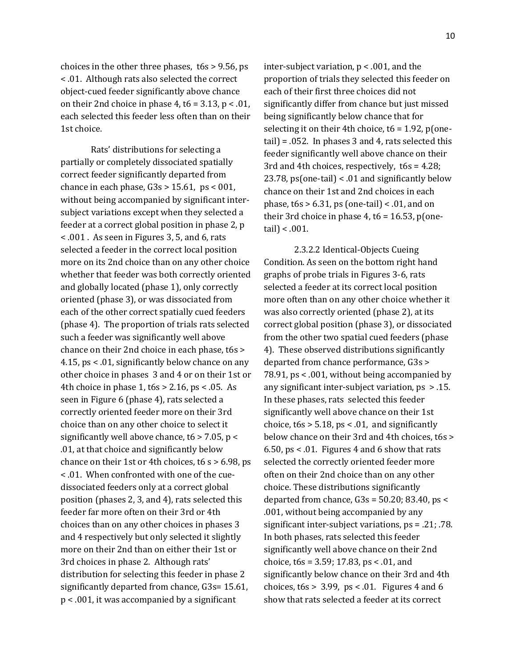choices in the other three phases, t6s > 9.56, ps < .01. Although rats also selected the correct object-cued feeder significantly above chance on their 2nd choice in phase 4, t6 =  $3.13$ , p <  $.01$ , each selected this feeder less often than on their 1st choice.

Rats' distributions for selecting a partially or completely dissociated spatially correct feeder significantly departed from chance in each phase,  $G3s > 15.61$ ,  $ps < 001$ , without being accompanied by significant intersubject variations except when they selected a feeder at a correct global position in phase 2, p < .001 . As seen in Figures 3, 5, and 6, rats selected a feeder in the correct local position more on its 2nd choice than on any other choice whether that feeder was both correctly oriented and globally located (phase 1), only correctly oriented (phase 3), or was dissociated from each of the other correct spatially cued feeders (phase 4). The proportion of trials rats selected such a feeder was significantly well above chance on their 2nd choice in each phase, t6s > 4.15, ps < .01, significantly below chance on any other choice in phases 3 and 4 or on their 1st or 4th choice in phase 1, t6s > 2.16, ps < .05. As seen in Figure 6 (phase 4), rats selected a correctly oriented feeder more on their 3rd choice than on any other choice to select it significantly well above chance,  $t6 > 7.05$ ,  $p <$ .01, at that choice and significantly below chance on their 1st or 4th choices, t6  $s > 6.98$ , ps < .01. When confronted with one of the cuedissociated feeders only at a correct global position (phases 2, 3, and 4), rats selected this feeder far more often on their 3rd or 4th choices than on any other choices in phases 3 and 4 respectively but only selected it slightly more on their 2nd than on either their 1st or 3rd choices in phase 2. Although rats' distribution for selecting this feeder in phase 2 significantly departed from chance, G3s= 15.61, p < .001, it was accompanied by a significant

inter-subject variation, p < .001, and the proportion of trials they selected this feeder on each of their first three choices did not significantly differ from chance but just missed being significantly below chance that for selecting it on their 4th choice,  $t6 = 1.92$ , p(onetail) = .052. In phases 3 and 4, rats selected this feeder significantly well above chance on their 3rd and 4th choices, respectively, t6s = 4.28; 23.78,  $ps(one-tail) < .01$  and significantly below chance on their 1st and 2nd choices in each phase,  $t$ 6s > 6.31, ps (one-tail) < .01, and on their 3rd choice in phase 4, t6 =  $16.53$ , p(onetail) < .001.

 2.3.2.2 Identical-Objects Cueing Condition. As seen on the bottom right hand graphs of probe trials in Figures 3-6, rats selected a feeder at its correct local position more often than on any other choice whether it was also correctly oriented (phase 2), at its correct global position (phase 3), or dissociated from the other two spatial cued feeders (phase 4). These observed distributions significantly departed from chance performance, G3s > 78.91, ps < .001, without being accompanied by any significant inter-subject variation, ps > .15. In these phases, rats selected this feeder significantly well above chance on their 1st choice,  $t$  6s  $>$  5.18, ps < .01, and significantly below chance on their 3rd and 4th choices, t6s > 6.50, ps < .01. Figures 4 and 6 show that rats selected the correctly oriented feeder more often on their 2nd choice than on any other choice. These distributions significantly departed from chance,  $G3s = 50.20$ ; 83.40, ps < .001, without being accompanied by any significant inter-subject variations, ps = .21; .78. In both phases, rats selected this feeder significantly well above chance on their 2nd choice, t6s = 3.59; 17.83, ps < .01, and significantly below chance on their 3rd and 4th choices, t6s > 3.99,  $ps < 0.01$ . Figures 4 and 6 show that rats selected a feeder at its correct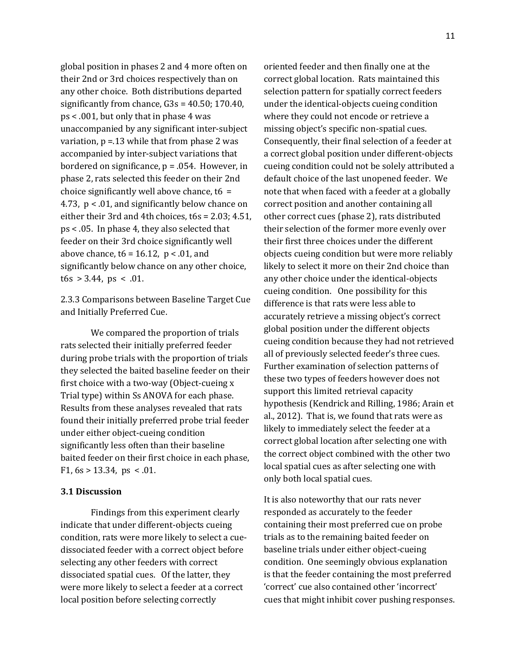global position in phases 2 and 4 more often on their 2nd or 3rd choices respectively than on any other choice. Both distributions departed significantly from chance,  $G3s = 40.50$ ; 170.40, ps < .001, but only that in phase 4 was unaccompanied by any significant inter-subject variation,  $p = 13$  while that from phase 2 was accompanied by inter-subject variations that bordered on significance,  $p = .054$ . However, in phase 2, rats selected this feeder on their 2nd choice significantly well above chance, t6  $=$ 4.73, p < .01, and significantly below chance on either their 3rd and 4th choices, t6s = 2.03; 4.51, ps < .05. In phase 4, they also selected that feeder on their 3rd choice significantly well above chance,  $t6 = 16.12$ ,  $p < .01$ , and significantly below chance on any other choice,  $t6s > 3.44$ , ps < .01.

2.3.3 Comparisons between Baseline Target Cue and Initially Preferred Cue.

We compared the proportion of trials rats selected their initially preferred feeder during probe trials with the proportion of trials they selected the baited baseline feeder on their first choice with a two-way (Object-cueing x Trial type) within Ss ANOVA for each phase. Results from these analyses revealed that rats found their initially preferred probe trial feeder under either object-cueing condition significantly less often than their baseline baited feeder on their first choice in each phase, F1,  $6s > 13.34$ ,  $ps < 0.01$ .

#### **3.1 Discussion**

Findings from this experiment clearly indicate that under different-objects cueing condition, rats were more likely to select a cuedissociated feeder with a correct object before selecting any other feeders with correct dissociated spatial cues. Of the latter, they were more likely to select a feeder at a correct local position before selecting correctly

oriented feeder and then finally one at the correct global location. Rats maintained this selection pattern for spatially correct feeders under the identical-objects cueing condition where they could not encode or retrieve a missing object's specific non-spatial cues. Consequently, their final selection of a feeder at a correct global position under different-objects cueing condition could not be solely attributed a default choice of the last unopened feeder. We note that when faced with a feeder at a globally correct position and another containing all other correct cues (phase 2), rats distributed their selection of the former more evenly over their first three choices under the different objects cueing condition but were more reliably likely to select it more on their 2nd choice than any other choice under the identical-objects cueing condition. One possibility for this difference is that rats were less able to accurately retrieve a missing object's correct global position under the different objects cueing condition because they had not retrieved all of previously selected feeder's three cues. Further examination of selection patterns of these two types of feeders however does not support this limited retrieval capacity hypothesis (Kendrick and Rilling, 1986; Arain et al., 2012). That is, we found that rats were as likely to immediately select the feeder at a correct global location after selecting one with the correct object combined with the other two local spatial cues as after selecting one with only both local spatial cues.

It is also noteworthy that our rats never responded as accurately to the feeder containing their most preferred cue on probe trials as to the remaining baited feeder on baseline trials under either object-cueing condition. One seemingly obvious explanation is that the feeder containing the most preferred 'correct' cue also contained other 'incorrect' cues that might inhibit cover pushing responses.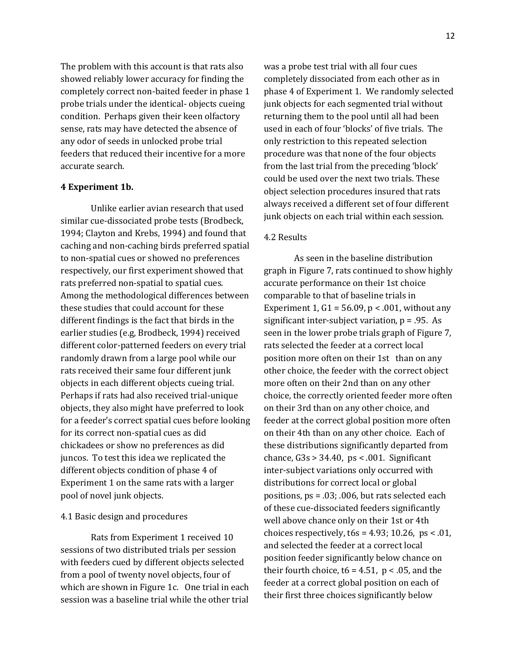The problem with this account is that rats also showed reliably lower accuracy for finding the completely correct non-baited feeder in phase 1 probe trials under the identical- objects cueing condition. Perhaps given their keen olfactory sense, rats may have detected the absence of any odor of seeds in unlocked probe trial feeders that reduced their incentive for a more accurate search.

#### **4 Experiment 1b.**

Unlike earlier avian research that used similar cue-dissociated probe tests (Brodbeck, 1994; Clayton and Krebs, 1994) and found that caching and non-caching birds preferred spatial to non-spatial cues or showed no preferences respectively, our first experiment showed that rats preferred non-spatial to spatial cues. Among the methodological differences between these studies that could account for these different findings is the fact that birds in the earlier studies (e.g, Brodbeck, 1994) received different color-patterned feeders on every trial randomly drawn from a large pool while our rats received their same four different junk objects in each different objects cueing trial. Perhaps if rats had also received trial-unique objects, they also might have preferred to look for a feeder's correct spatial cues before looking for its correct non-spatial cues as did chickadees or show no preferences as did juncos. To test this idea we replicated the different objects condition of phase 4 of Experiment 1 on the same rats with a larger pool of novel junk objects.

#### 4.1 Basic design and procedures

Rats from Experiment 1 received 10 sessions of two distributed trials per session with feeders cued by different objects selected from a pool of twenty novel objects, four of which are shown in Figure 1c. One trial in each session was a baseline trial while the other trial was a probe test trial with all four cues completely dissociated from each other as in phase 4 of Experiment 1. We randomly selected junk objects for each segmented trial without returning them to the pool until all had been used in each of four 'blocks' of five trials. The only restriction to this repeated selection procedure was that none of the four objects from the last trial from the preceding 'block' could be used over the next two trials. These object selection procedures insured that rats always received a different set of four different junk objects on each trial within each session.

## 4.2 Results

As seen in the baseline distribution graph in Figure 7, rats continued to show highly accurate performance on their 1st choice comparable to that of baseline trials in Experiment 1, G1 =  $56.09$ , p <  $.001$ , without any significant inter-subject variation,  $p = .95$ . As seen in the lower probe trials graph of Figure 7, rats selected the feeder at a correct local position more often on their 1st than on any other choice, the feeder with the correct object more often on their 2nd than on any other choice, the correctly oriented feeder more often on their 3rd than on any other choice, and feeder at the correct global position more often on their 4th than on any other choice. Each of these distributions significantly departed from chance, G3s > 34.40, ps < .001. Significant inter-subject variations only occurred with distributions for correct local or global positions, ps = .03; .006, but rats selected each of these cue-dissociated feeders significantly well above chance only on their 1st or 4th choices respectively,  $t$ 6s = 4.93; 10.26, ps < .01, and selected the feeder at a correct local position feeder significantly below chance on their fourth choice,  $t6 = 4.51$ ,  $p < .05$ , and the feeder at a correct global position on each of their first three choices significantly below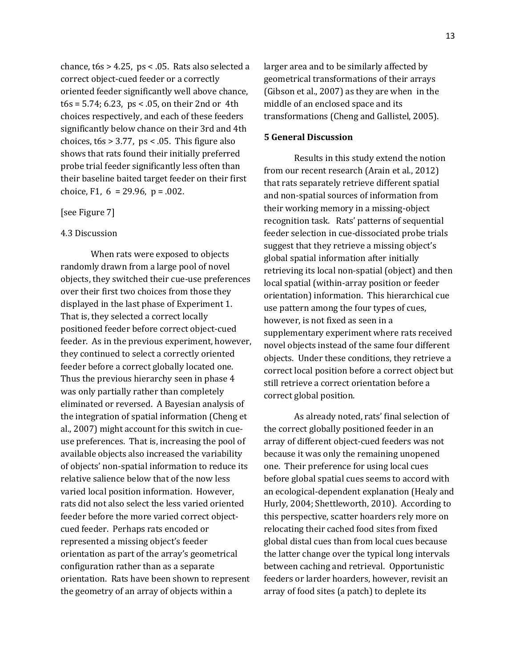chance, t6s > 4.25, ps < .05. Rats also selected a correct object-cued feeder or a correctly oriented feeder significantly well above chance, t6s =  $5.74$ ; 6.23, ps < .05, on their 2nd or 4th choices respectively, and each of these feeders significantly below chance on their 3rd and 4th choices,  $t$ 6s > 3.77, ps < .05. This figure also shows that rats found their initially preferred probe trial feeder significantly less often than their baseline baited target feeder on their first choice, F1,  $6 = 29.96$ ,  $p = .002$ .

#### [see Figure 7]

#### 4.3 Discussion

When rats were exposed to objects randomly drawn from a large pool of novel objects, they switched their cue-use preferences over their first two choices from those they displayed in the last phase of Experiment 1. That is, they selected a correct locally positioned feeder before correct object-cued feeder. As in the previous experiment, however, they continued to select a correctly oriented feeder before a correct globally located one. Thus the previous hierarchy seen in phase 4 was only partially rather than completely eliminated or reversed. A Bayesian analysis of the integration of spatial information (Cheng et al., 2007) might account for this switch in cueuse preferences. That is, increasing the pool of available objects also increased the variability of objects' non-spatial information to reduce its relative salience below that of the now less varied local position information. However, rats did not also select the less varied oriented feeder before the more varied correct objectcued feeder. Perhaps rats encoded or represented a missing object's feeder orientation as part of the array's geometrical configuration rather than as a separate orientation. Rats have been shown to represent the geometry of an array of objects within a

larger area and to be similarly affected by geometrical transformations of their arrays (Gibson et al., 2007) as they are when in the middle of an enclosed space and its transformations (Cheng and Gallistel, 2005).

#### **5 General Discussion**

Results in this study extend the notion from our recent research (Arain et al., 2012) that rats separately retrieve different spatial and non-spatial sources of information from their working memory in a missing-object recognition task. Rats' patterns of sequential feeder selection in cue-dissociated probe trials suggest that they retrieve a missing object's global spatial information after initially retrieving its local non-spatial (object) and then local spatial (within-array position or feeder orientation) information. This hierarchical cue use pattern among the four types of cues, however, is not fixed as seen in a supplementary experiment where rats received novel objects instead of the same four different objects. Under these conditions, they retrieve a correct local position before a correct object but still retrieve a correct orientation before a correct global position.

As already noted, rats' final selection of the correct globally positioned feeder in an array of different object-cued feeders was not because it was only the remaining unopened one. Their preference for using local cues before global spatial cues seems to accord with an ecological-dependent explanation (Healy and Hurly, 2004; Shettleworth, 2010). According to this perspective, scatter hoarders rely more on relocating their cached food sites from fixed global distal cues than from local cues because the latter change over the typical long intervals between caching and retrieval. Opportunistic feeders or larder hoarders, however, revisit an array of food sites (a patch) to deplete its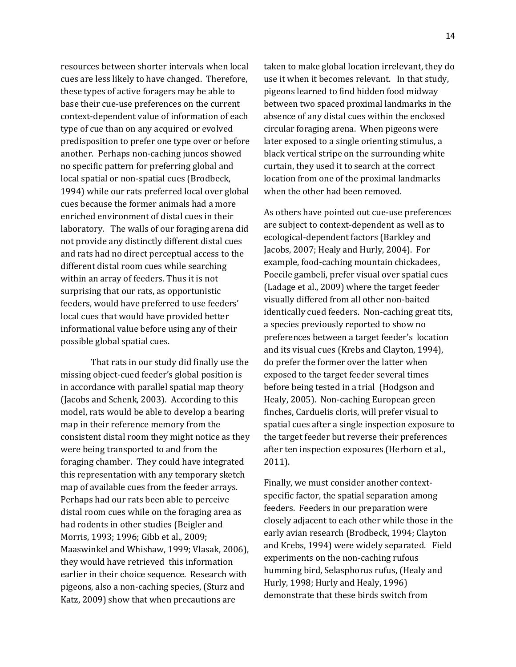resources between shorter intervals when local cues are less likely to have changed. Therefore, these types of active foragers may be able to base their cue-use preferences on the current context-dependent value of information of each type of cue than on any acquired or evolved predisposition to prefer one type over or before another. Perhaps non-caching juncos showed no specific pattern for preferring global and local spatial or non-spatial cues (Brodbeck, 1994) while our rats preferred local over global cues because the former animals had a more enriched environment of distal cues in their laboratory. The walls of our foraging arena did not provide any distinctly different distal cues and rats had no direct perceptual access to the different distal room cues while searching within an array of feeders. Thus it is not surprising that our rats, as opportunistic feeders, would have preferred to use feeders' local cues that would have provided better informational value before using any of their possible global spatial cues.

That rats in our study did finally use the missing object-cued feeder's global position is in accordance with parallel spatial map theory (Jacobs and Schenk, 2003). According to this model, rats would be able to develop a bearing map in their reference memory from the consistent distal room they might notice as they were being transported to and from the foraging chamber. They could have integrated this representation with any temporary sketch map of available cues from the feeder arrays. Perhaps had our rats been able to perceive distal room cues while on the foraging area as had rodents in other studies (Beigler and Morris, 1993; 1996; Gibb et al., 2009; Maaswinkel and Whishaw, 1999; Vlasak, 2006), they would have retrieved this information earlier in their choice sequence. Research with pigeons, also a non-caching species, (Sturz and Katz, 2009) show that when precautions are

taken to make global location irrelevant, they do use it when it becomes relevant. In that study, pigeons learned to find hidden food midway between two spaced proximal landmarks in the absence of any distal cues within the enclosed circular foraging arena. When pigeons were later exposed to a single orienting stimulus, a black vertical stripe on the surrounding white curtain, they used it to search at the correct location from one of the proximal landmarks when the other had been removed.

As others have pointed out cue-use preferences are subject to context-dependent as well as to ecological-dependent factors (Barkley and Jacobs, 2007; Healy and Hurly, 2004). For example, food-caching mountain chickadees, Poecile gambeli, prefer visual over spatial cues (Ladage et al., 2009) where the target feeder visually differed from all other non-baited identically cued feeders. Non-caching great tits, a species previously reported to show no preferences between a target feeder's location and its visual cues (Krebs and Clayton, 1994), do prefer the former over the latter when exposed to the target feeder several times before being tested in a trial (Hodgson and Healy, 2005). Non-caching European green finches, Carduelis cloris, will prefer visual to spatial cues after a single inspection exposure to the target feeder but reverse their preferences after ten inspection exposures (Herborn et al., 2011).

Finally, we must consider another contextspecific factor, the spatial separation among feeders. Feeders in our preparation were closely adjacent to each other while those in the early avian research (Brodbeck, 1994; Clayton and Krebs, 1994) were widely separated. Field experiments on the non-caching rufous humming bird, Selasphorus rufus, (Healy and Hurly, 1998; Hurly and Healy, 1996) demonstrate that these birds switch from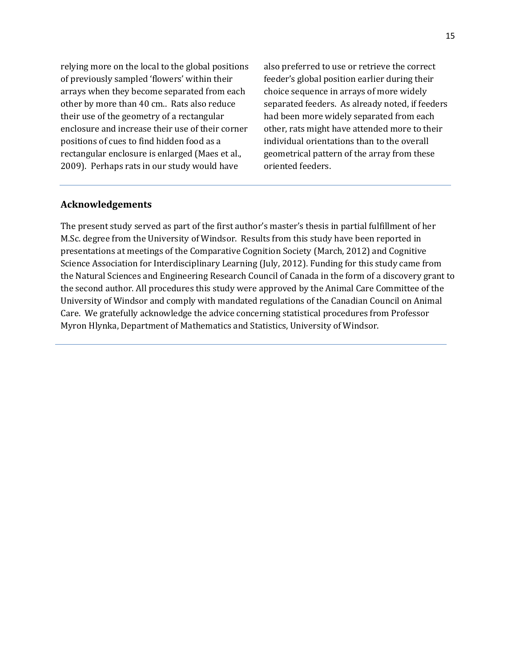relying more on the local to the global positions of previously sampled 'flowers' within their arrays when they become separated from each other by more than 40 cm.. Rats also reduce their use of the geometry of a rectangular enclosure and increase their use of their corner positions of cues to find hidden food as a rectangular enclosure is enlarged (Maes et al., 2009). Perhaps rats in our study would have

also preferred to use or retrieve the correct feeder's global position earlier during their choice sequence in arrays of more widely separated feeders. As already noted, if feeders had been more widely separated from each other, rats might have attended more to their individual orientations than to the overall geometrical pattern of the array from these oriented feeders.

### **Acknowledgements**

The present study served as part of the first author's master's thesis in partial fulfillment of her M.Sc. degree from the University of Windsor. Results from this study have been reported in presentations at meetings of the Comparative Cognition Society (March, 2012) and Cognitive Science Association for Interdisciplinary Learning (July, 2012). Funding for this study came from the Natural Sciences and Engineering Research Council of Canada in the form of a discovery grant to the second author. All procedures this study were approved by the Animal Care Committee of the University of Windsor and comply with mandated regulations of the Canadian Council on Animal Care. We gratefully acknowledge the advice concerning statistical procedures from Professor Myron Hlynka, Department of Mathematics and Statistics, University of Windsor.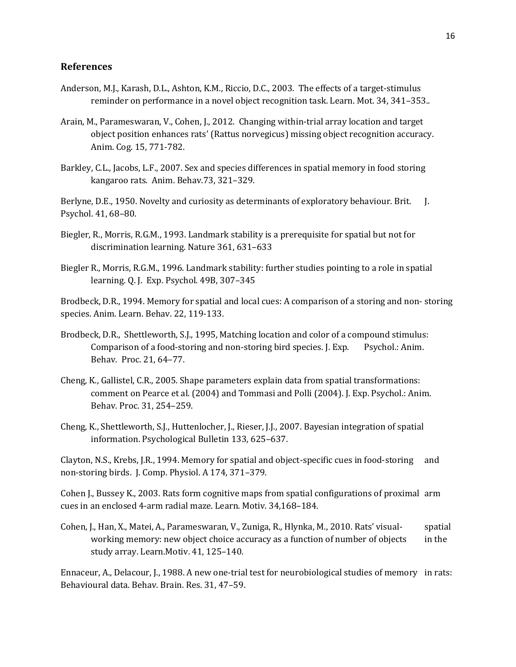### **References**

- Anderson, M.J., Karash, D.L., Ashton, K.M., Riccio, D.C., 2003. The effects of a target-stimulus reminder on performance in a novel object recognition task. Learn. Mot. 34, 341–353..
- Arain, M., Parameswaran, V., Cohen, J., 2012. Changing within-trial array location and target object position enhances rats' (Rattus norvegicus) missing object recognition accuracy. Anim. Cog. 15, 771-782.
- Barkley, C.L., Jacobs, L.F., 2007. Sex and species differences in spatial memory in food storing kangaroo rats. Anim. Behav.73, 321–329.

Berlyne, D.E., 1950. Novelty and curiosity as determinants of exploratory behaviour. Brit. J. Psychol. 41, 68–80.

- Biegler, R., Morris, R.G.M., 1993. Landmark stability is a prerequisite for spatial but not for discrimination learning. Nature 361, 631–633
- Biegler R., Morris, R.G.M., 1996. Landmark stability: further studies pointing to a role in spatial learning. Q. J. Exp. Psychol. 49B, 307–345

Brodbeck, D.R., 1994. Memory for spatial and local cues: A comparison of a storing and non- storing species. Anim. Learn. Behav. 22, 119-133.

- Brodbeck, D.R., Shettleworth, S.J., 1995, Matching location and color of a compound stimulus: Comparison of a food-storing and non-storing bird species. J. Exp. Psychol.: Anim. Behav. Proc. 21, 64–77.
- Cheng, K., Gallistel, C.R., 2005. Shape parameters explain data from spatial transformations: comment on Pearce et al. (2004) and Tommasi and Polli (2004). J. Exp. Psychol.: Anim. Behav. Proc. 31, 254–259.
- Cheng, K., Shettleworth, S.J., Huttenlocher, J., Rieser, J.J., 2007. Bayesian integration of spatial information. Psychological Bulletin 133, 625–637.

Clayton, N.S., Krebs, J.R., 1994. Memory for spatial and object-specific cues in food-storing and non-storing birds. J. Comp. Physiol. A 174, 371–379.

Cohen J., Bussey K., 2003. Rats form cognitive maps from spatial configurations of proximal arm cues in an enclosed 4-arm radial maze. Learn. Motiv. 34,168–184.

Cohen, J., Han, X., Matei, A., Parameswaran, V., Zuniga, R., Hlynka, M., 2010. Rats' visual- spatial working memory: new object choice accuracy as a function of number of objects in the study array. Learn.Motiv. 41, 125–140.

Ennaceur, A., Delacour, J., 1988. A new one-trial test for neurobiological studies of memory in rats: Behavioural data. Behav. Brain. Res. 31, 47–59.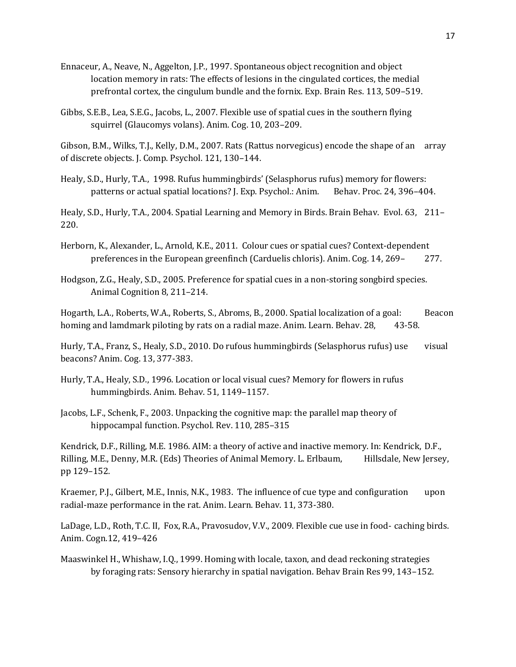- Ennaceur, A., Neave, N., Aggelton, J.P., 1997. Spontaneous object recognition and object location memory in rats: The effects of lesions in the cingulated cortices, the medial prefrontal cortex, the cingulum bundle and the fornix. Exp. Brain Res. 113, 509–519.
- Gibbs, S.E.B., Lea, S.E.G., Jacobs, L., 2007. Flexible use of spatial cues in the southern flying squirrel (Glaucomys volans). Anim. Cog. 10, 203–209.

Gibson, B.M., Wilks, T.J., Kelly, D.M., 2007. Rats (Rattus norvegicus) encode the shape of an array of discrete objects. J. Comp. Psychol. 121, 130–144.

Healy, S.D., Hurly, T.A., 1998. Rufus hummingbirds' (Selasphorus rufus) memory for flowers: patterns or actual spatial locations? J. Exp. Psychol.: Anim. Behav. Proc. 24, 396–404.

Healy, S.D., Hurly, T.A., 2004. Spatial Learning and Memory in Birds. Brain Behav. Evol. 63, 211– 220.

- Herborn, K., Alexander, L., Arnold, K.E., 2011. Colour cues or spatial cues? Context-dependent preferences in the European greenfinch (Carduelis chloris). Anim. Cog. 14, 269– 277.
- Hodgson, Z.G., Healy, S.D., 2005. Preference for spatial cues in a non-storing songbird species. Animal Cognition 8, 211–214.

Hogarth, L.A., Roberts, W.A., Roberts, S., Abroms, B., 2000. Spatial localization of a goal: Beacon homing and lamdmark piloting by rats on a radial maze. Anim. Learn. Behav. 28, 43-58.

Hurly, T.A., Franz, S., Healy, S.D., 2010. Do rufous hummingbirds (Selasphorus rufus) use visual beacons? Anim. Cog. 13, 377-383.

- Hurly, T.A., Healy, S.D., 1996. Location or local visual cues? Memory for flowers in rufus hummingbirds. Anim. Behav. 51, 1149–1157.
- Jacobs, L.F., Schenk, F., 2003. Unpacking the cognitive map: the parallel map theory of hippocampal function. Psychol. Rev. 110, 285–315

Kendrick, D.F., Rilling, M.E. 1986. AIM: a theory of active and inactive memory. In: Kendrick, D.F., Rilling, M.E., Denny, M.R. (Eds) Theories of Animal Memory. L. Erlbaum, Hillsdale, New Jersey, pp 129–152.

Kraemer, P.J., Gilbert, M.E., Innis, N.K., 1983. The influence of cue type and configuration upon radial-maze performance in the rat. Anim. Learn. Behav. 11, 373-380.

LaDage, L.D., Roth, T.C. II, Fox, R.A., Pravosudov, V.V., 2009. Flexible cue use in food- caching birds. Anim. Cogn.12, 419–426

Maaswinkel H., Whishaw, I.Q., 1999. Homing with locale, taxon, and dead reckoning strategies by foraging rats: Sensory hierarchy in spatial navigation. Behav Brain Res 99, 143–152.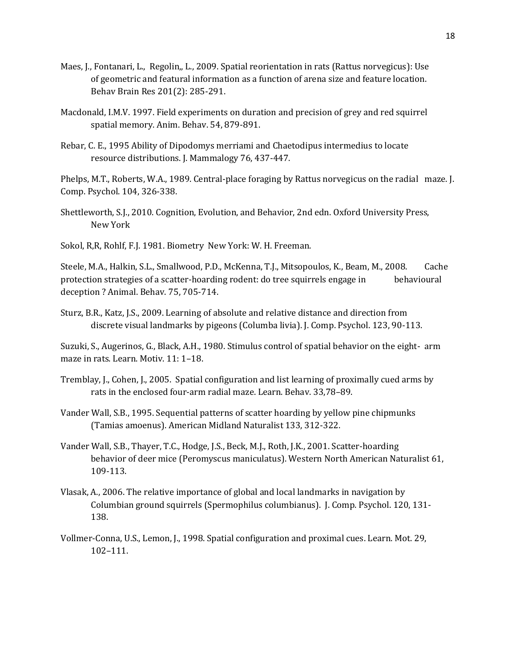- Maes, J., Fontanari, L., Regolin,, L., 2009. Spatial reorientation in rats (Rattus norvegicus): Use of geometric and featural information as a function of arena size and feature location. Behav Brain Res 201(2): 285-291.
- Macdonald, I.M.V. 1997. Field experiments on duration and precision of grey and red squirrel spatial memory. Anim. Behav. 54, 879-891.
- Rebar, C. E., 1995 Ability of Dipodomys merriami and Chaetodipus intermedius to locate resource distributions. J. Mammalogy 76, 437-447.

Phelps, M.T., Roberts, W.A., 1989. Central-place foraging by Rattus norvegicus on the radial maze. J. Comp. Psychol. 104, 326-338.

Shettleworth, S.J., 2010. Cognition, Evolution, and Behavior, 2nd edn. Oxford University Press, New York

Sokol, R,R, Rohlf, F.J. 1981. Biometry New York: W. H. Freeman.

Steele, M.A., Halkin, S.L., Smallwood, P.D., McKenna, T.J., Mitsopoulos, K., Beam, M., 2008. Cache protection strategies of a scatter-hoarding rodent: do tree squirrels engage in behavioural deception ? Animal. Behav. 75, 705-714.

Sturz, B.R., Katz, J.S., 2009. Learning of absolute and relative distance and direction from discrete visual landmarks by pigeons (Columba livia). J. Comp. Psychol. 123, 90-113.

Suzuki, S., Augerinos, G., Black, A.H., 1980. Stimulus control of spatial behavior on the eight- arm maze in rats. Learn. Motiv. 11: 1–18.

- Tremblay, J., Cohen, J., 2005. Spatial configuration and list learning of proximally cued arms by rats in the enclosed four-arm radial maze. Learn. Behav. 33,78–89.
- Vander Wall, S.B., 1995. Sequential patterns of scatter hoarding by yellow pine chipmunks (Tamias amoenus). American Midland Naturalist 133, 312-322.
- Vander Wall, S.B., Thayer, T.C., Hodge, J.S., Beck, M.J., Roth, J.K., 2001. Scatter-hoarding behavior of deer mice (Peromyscus maniculatus). Western North American Naturalist 61, 109-113.
- Vlasak, A., 2006. The relative importance of global and local landmarks in navigation by Columbian ground squirrels (Spermophilus columbianus). J. Comp. Psychol. 120, 131- 138.
- Vollmer-Conna, U.S., Lemon, J., 1998. Spatial configuration and proximal cues. Learn. Mot. 29, 102–111.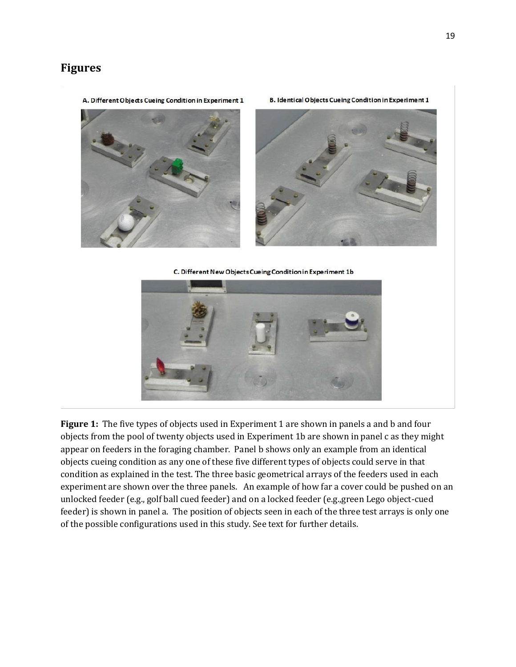## **Figures**



**Figure 1:** The five types of objects used in Experiment 1 are shown in panels a and b and four objects from the pool of twenty objects used in Experiment 1b are shown in panel c as they might appear on feeders in the foraging chamber. Panel b shows only an example from an identical objects cueing condition as any one of these five different types of objects could serve in that condition as explained in the test. The three basic geometrical arrays of the feeders used in each experiment are shown over the three panels. An example of how far a cover could be pushed on an unlocked feeder (e.g., golf ball cued feeder) and on a locked feeder (e.g.,green Lego object-cued feeder) is shown in panel a. The position of objects seen in each of the three test arrays is only one of the possible configurations used in this study. See text for further details.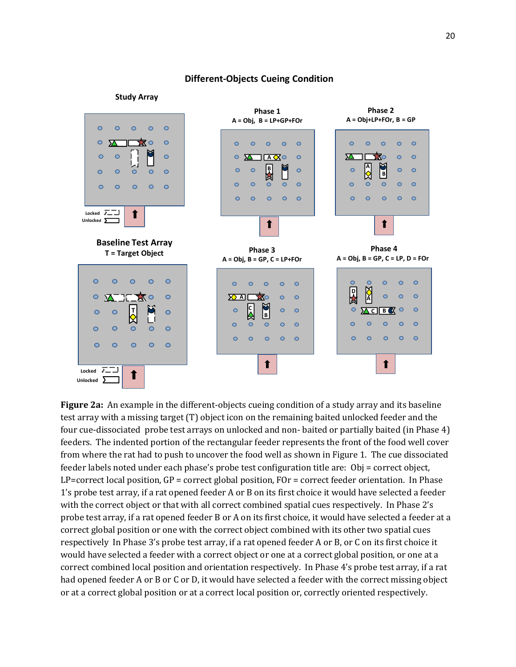

## **Different-Objects Cueing Condition**

**Figure 2a:** An example in the different-objects cueing condition of a study array and its baseline test array with a missing target (T) object icon on the remaining baited unlocked feeder and the four cue-dissociated probe test arrays on unlocked and non- baited or partially baited (in Phase 4) feeders. The indented portion of the rectangular feeder represents the front of the food well cover from where the rat had to push to uncover the food well as shown in Figure 1. The cue dissociated feeder labels noted under each phase's probe test configuration title are: Obj = correct object, LP=correct local position, GP = correct global position, FOr = correct feeder orientation. In Phase 1's probe test array, if a rat opened feeder A or B on its first choice it would have selected a feeder with the correct object or that with all correct combined spatial cues respectively. In Phase 2's probe test array, if a rat opened feeder B or A on its first choice, it would have selected a feeder at a correct global position or one with the correct object combined with its other two spatial cues respectively In Phase 3's probe test array, if a rat opened feeder A or B, or C on its first choice it would have selected a feeder with a correct object or one at a correct global position, or one at a correct combined local position and orientation respectively. In Phase 4's probe test array, if a rat had opened feeder A or B or C or D, it would have selected a feeder with the correct missing object or at a correct global position or at a correct local position or, correctly oriented respectively.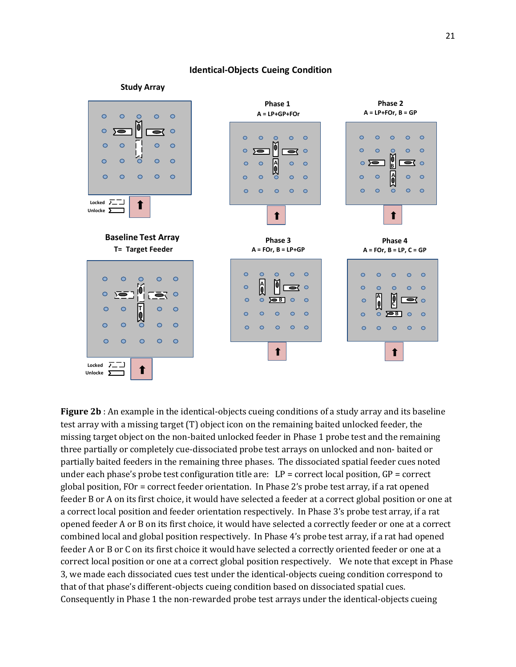#### **Identical-Objects Cueing Condition**



**Figure 2b** : An example in the identical-objects cueing conditions of a study array and its baseline test array with a missing target (T) object icon on the remaining baited unlocked feeder, the missing target object on the non-baited unlocked feeder in Phase 1 probe test and the remaining three partially or completely cue-dissociated probe test arrays on unlocked and non- baited or partially baited feeders in the remaining three phases. The dissociated spatial feeder cues noted under each phase's probe test configuration title are:  $LP =$  correct local position,  $GP =$  correct global position, FOr = correct feeder orientation. In Phase 2's probe test array, if a rat opened feeder B or A on its first choice, it would have selected a feeder at a correct global position or one at a correct local position and feeder orientation respectively. In Phase 3's probe test array, if a rat opened feeder A or B on its first choice, it would have selected a correctly feeder or one at a correct combined local and global position respectively. In Phase 4's probe test array, if a rat had opened feeder A or B or C on its first choice it would have selected a correctly oriented feeder or one at a correct local position or one at a correct global position respectively. We note that except in Phase 3, we made each dissociated cues test under the identical-objects cueing condition correspond to that of that phase's different-objects cueing condition based on dissociated spatial cues. Consequently in Phase 1 the non-rewarded probe test arrays under the identical-objects cueing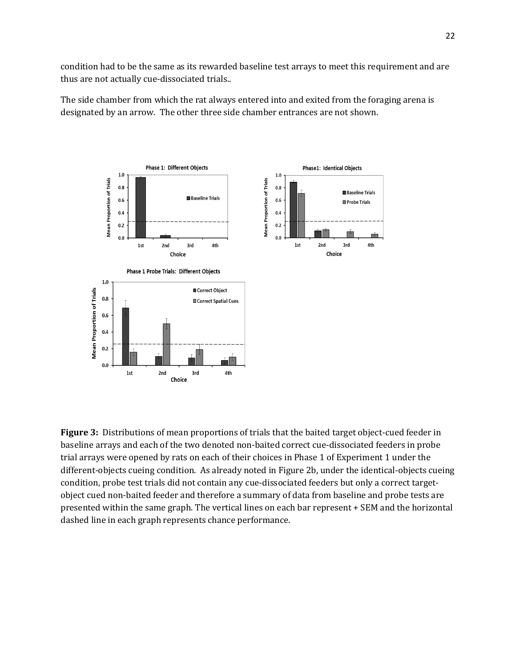condition had to be the same as its rewarded baseline test arrays to meet this requirement and are thus are not actually cue-dissociated trials..

The side chamber from which the rat always entered into and exited from the foraging arena is designated by an arrow. The other three side chamber entrances are not shown.



**Figure 3:** Distributions of mean proportions of trials that the baited target object-cued feeder in baseline arrays and each of the two denoted non-baited correct cue-dissociated feeders in probe trial arrays were opened by rats on each of their choices in Phase 1 of Experiment 1 under the different-objects cueing condition. As already noted in Figure 2b, under the identical-objects cueing condition, probe test trials did not contain any cue-dissociated feeders but only a correct targetobject cued non-baited feeder and therefore a summary of data from baseline and probe tests are presented within the same graph. The vertical lines on each bar represent + SEM and the horizontal dashed line in each graph represents chance performance.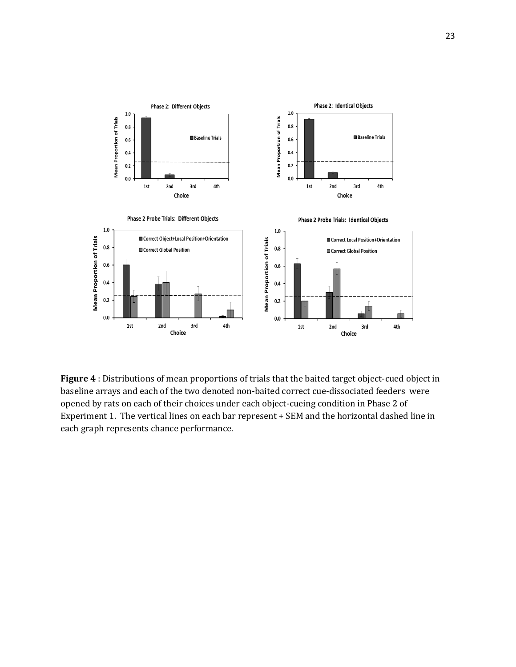

**Figure 4** : Distributions of mean proportions of trials that the baited target object-cued object in baseline arrays and each of the two denoted non-baited correct cue-dissociated feeders were opened by rats on each of their choices under each object-cueing condition in Phase 2 of Experiment 1. The vertical lines on each bar represent + SEM and the horizontal dashed line in each graph represents chance performance.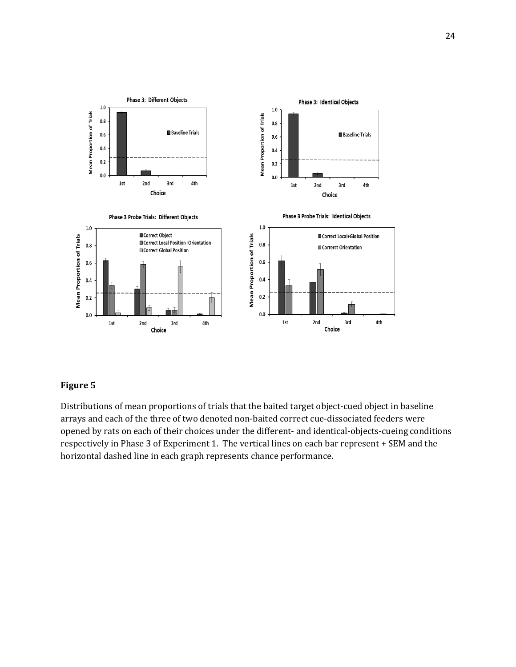

## **Figure 5**

Distributions of mean proportions of trials that the baited target object-cued object in baseline arrays and each of the three of two denoted non-baited correct cue-dissociated feeders were opened by rats on each of their choices under the different- and identical-objects-cueing conditions respectively in Phase 3 of Experiment 1. The vertical lines on each bar represent + SEM and the horizontal dashed line in each graph represents chance performance.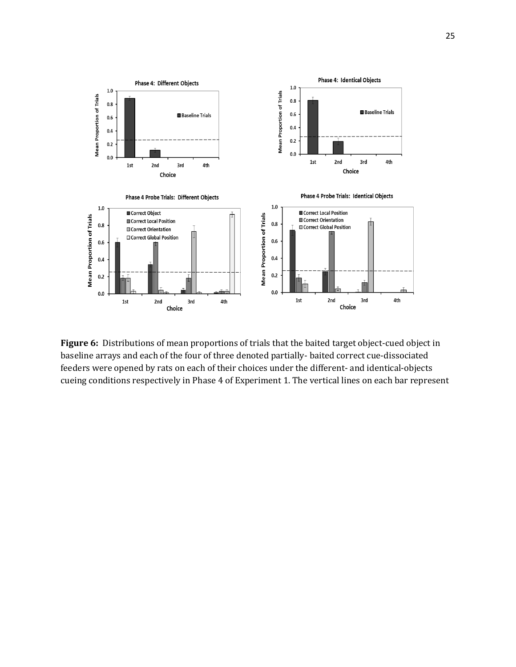

**Figure 6:** Distributions of mean proportions of trials that the baited target object-cued object in baseline arrays and each of the four of three denoted partially- baited correct cue-dissociated feeders were opened by rats on each of their choices under the different- and identical-objects cueing conditions respectively in Phase 4 of Experiment 1. The vertical lines on each bar represent